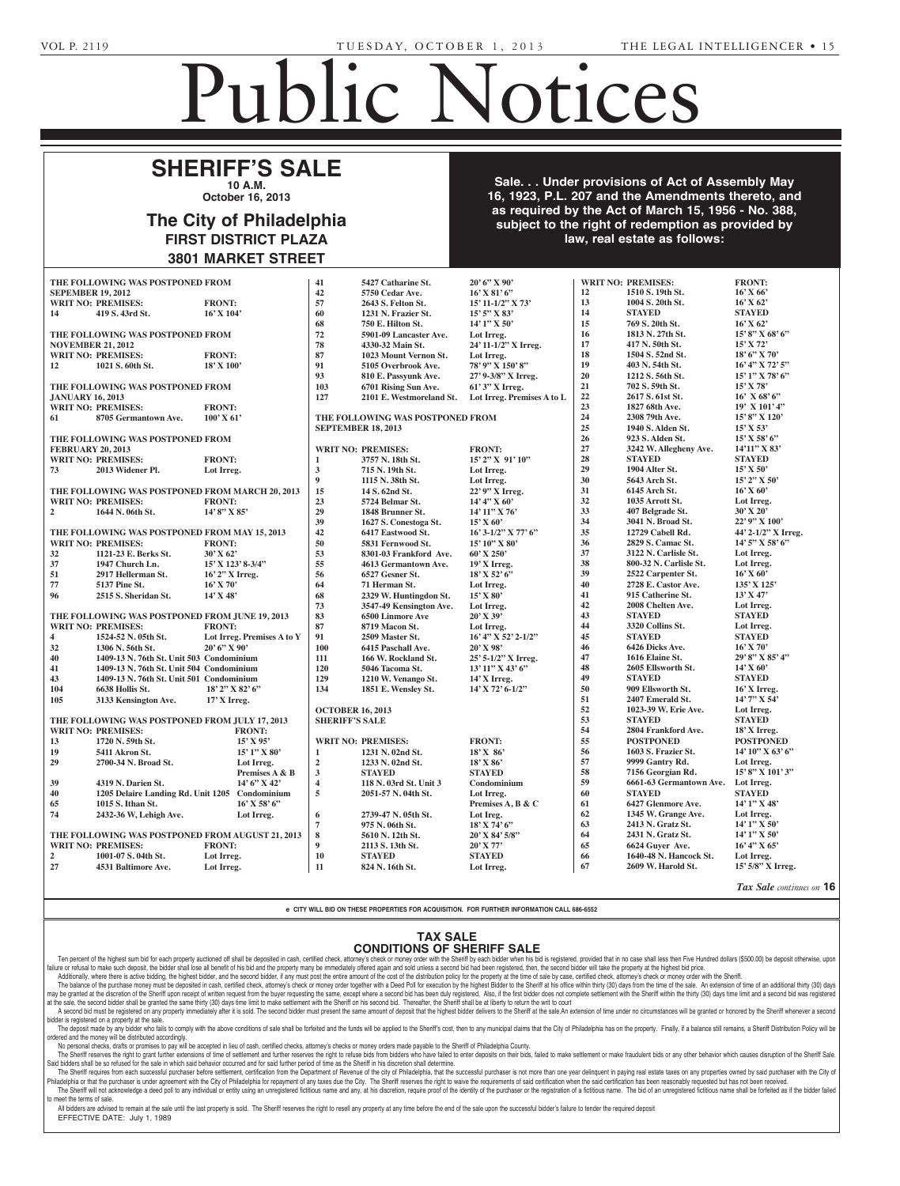**HECK, JAMES D., JR., (also known as JAMES HECK)** -- James D. Heck, III, Administrator, c/o Elizabeth B. Place, Esquire, 17 S. 2nd Street, 6th Fl., 17 S. 2nd

## Public Notices

Non-Profit Charter

nized under the 1988 Nonprofit

## **SHERIFF'S SALE 10 A.M.**

**October 16, 2013**  $\frac{1}{2}$ 

### The City of Philadelphia **FIRST DISTRICT PLAZA 3801 MARKET STREET** Section 3162 of the Probate, of June 30, 1972 (Act No. 164) which requires advertisement of  $\sim$ w of Dhiladalphia cy or Prinadelphia DISTRICT PLAZA WARNEL SINEET

**Sale. . . Under provisions of Act of Assembly May 16, 1923, P.L. 207 and the Amendments thereto, and as required by the Act of March 15, 1956 - No. 388,** subject to the right of redemption as provided by law, real estate as follows: **Public Heart of State of the Amendments thereto, and the Amendments thereto, and the Company of the Company of the Company of the Company of the Company of the Company of the Company of the Company of the Company of the C** Harrisburg, PA, on or after July  $19, 201$  for the purpose of obtaining a charter of a proposed nonprofit corporation to be orga-**Francisco 4, 2013, and 10:000 Friday, October 3, 2013, And 10:00** Philadelphia will hold a Public a Public and Public and Public and Public and Public and Public and Public and

|                                                                             |                                                 | JOVI MANNEI JINEEI           |                         |                                      |                            |          |                                         |                               |
|-----------------------------------------------------------------------------|-------------------------------------------------|------------------------------|-------------------------|--------------------------------------|----------------------------|----------|-----------------------------------------|-------------------------------|
|                                                                             | THE FOLLOWING WAS POSTPONED FROM                |                              | 41                      | 5427 Catharine St.                   | 20' 6" X 90'               |          | <b>WRIT NO: PREMISES:</b>               | <b>FRONT:</b>                 |
|                                                                             | <b>SEPEMBER 19, 2012</b>                        |                              | 42                      | 5750 Cedar Ave.                      | $16'$ X $81'$ 6"           | 12       | 1510 S. 19th St.                        | $16'$ X 66'                   |
|                                                                             | <b>WRIT NO: PREMISES:</b>                       | <b>FRONT:</b>                | 57                      | 2643 S. Felton St.                   | 15' 11-1/2" X 73'          | 13       | 1004 S. 20th St.                        | $16'$ X 62'                   |
| 14                                                                          | 419 S. 43rd St.                                 | $16'$ X $104'$               | 60                      | 1231 N. Frazier St.                  | $15'5''$ X 83'             | 14       | <b>STAYED</b>                           | <b>STAYED</b>                 |
|                                                                             |                                                 |                              | 68                      | 750 E. Hilton St.                    | $14'1''$ X 50'             | 15       | 769 S. 20th St.                         | $16'$ X 62'                   |
|                                                                             | THE FOLLOWING WAS POSTPONED FROM                |                              | 72                      | 5901-09 Lancaster Ave.               | Lot Irreg.                 | 16       | 1813 N. 27th St.                        | $15'8''$ X 68' 6"             |
|                                                                             | <b>NOVEMBER 21, 2012</b>                        |                              | 78                      | 4330-32 Main St.                     | 24' 11-1/2" X Irreg.       | 17       | 417 N. 50th St.                         | $15'$ X 72'                   |
|                                                                             | <b>WRIT NO: PREMISES:</b>                       | <b>FRONT:</b>                | 87                      | 1023 Mount Vernon St.                | Lot Irreg.                 | 18       | 1504 S. 52nd St.                        | $18'6''$ X 70'                |
| 12                                                                          | 1021 S. 60th St.                                | $18'$ X $100'$               | 91                      | 5105 Overbrook Ave.                  | 78' 9" X 150' 8"           | 19       | 403 N. 54th St.                         | $16'$ 4" X 72' 5"             |
|                                                                             |                                                 |                              | 93                      | 810 E. Passyunk Ave.                 | 27' 9-3/8" X Irreg.        | 20       | 1212 S. 56th St.                        | $15'1''$ X 78' 6"             |
|                                                                             | THE FOLLOWING WAS POSTPONED FROM                |                              | 103                     | 6701 Rising Sun Ave.                 | 61' 3" X Irreg.            | 21       | 702 S. 59th St.                         | $15'$ X 78'                   |
| <b>JANUARY 16, 2013</b>                                                     |                                                 |                              | 127                     | 2101 E. Westmoreland St.             | Lot Irreg. Premises A to L | 22       | 2617 S. 61st St.                        | $16'$ X 68' 6"                |
|                                                                             | <b>WRIT NO: PREMISES:</b>                       | <b>FRONT:</b>                |                         |                                      |                            | 23       | 1827 68th Ave.                          | $19'$ X $101'$ 4"             |
| 61                                                                          | 8705 Germantown Ave.                            | $100'$ X 61'                 |                         | THE FOLLOWING WAS POSTPONED FROM     |                            | 24       | 2308 79th Ave.                          | $15' 8''$ X $120'$            |
|                                                                             |                                                 |                              |                         | <b>SEPTEMBER 18, 2013</b>            |                            | 25       | 1940 S. Alden St.                       | $15'$ X 53'                   |
|                                                                             | THE FOLLOWING WAS POSTPONED FROM                |                              |                         |                                      |                            | 26       | 923 S. Alden St.                        | $15'$ X 58' 6"                |
|                                                                             | <b>FEBRUARY 20, 2013</b>                        |                              |                         | <b>WRIT NO: PREMISES:</b>            | <b>FRONT:</b>              | 27       | 3242 W. Allegheny Ave.                  | $14'11''$ X 83'               |
|                                                                             | <b>WRIT NO: PREMISES:</b>                       | <b>FRONT:</b>                | $\mathbf{1}$            | 3757 N. 18th St.                     | 15' 2" X 91' 10"           | 28       | <b>STAYED</b>                           | <b>STAYED</b>                 |
| 73                                                                          | 2013 Widener Pl.                                | Lot Irreg.                   | 3                       | 715 N. 19th St.                      | Lot Irreg.                 | 29       | 1904 Alter St.                          | $15'$ X 50'                   |
|                                                                             |                                                 |                              | $\boldsymbol{9}$        | 1115 N. 38th St.                     | Lot Irreg.                 | 30       | 5643 Arch St.                           | 15' 2" X 50'                  |
|                                                                             | THE FOLLOWING WAS POSTPONED FROM MARCH 20, 2013 |                              | 15                      | 14 S. 62nd St.                       | 22' 9" X Irreg.            | 31       | 6145 Arch St.                           | $16'$ X 60'                   |
|                                                                             | <b>WRIT NO: PREMISES:</b>                       | <b>FRONT:</b>                | 23                      | 5724 Belmar St.                      | $14'$ 4" X 60"             | 32       | 1035 Arrott St.                         | Lot Irreg.                    |
| $\overline{2}$                                                              | 1644 N. 06th St.                                | $14'8''$ X 85'               | 29                      | 1848 Brunner St.                     | 14' 11''  X 76'            | 33       | 407 Belgrade St.                        | $30'$ X $20'$                 |
|                                                                             |                                                 |                              | 39                      | 1627 S. Conestoga St.                | $15'$ X 60'                | 34       | 3041 N. Broad St.                       | 22' 9" X 100'                 |
|                                                                             | THE FOLLOWING WAS POSTPONED FROM MAY 15, 2013   |                              | 42                      | 6417 Eastwood St.                    | $16'3-1/2''$ X 77' 6"      | 35       | 12729 Cabell Rd.                        | 44' $2-1/2$ " X Irreg.        |
|                                                                             | <b>WRIT NO: PREMISES:</b>                       | <b>FRONT:</b>                | 50                      | 5831 Fernwood St.                    | 15' 10" X 80'              | 36       | 2829 S. Camac St.                       | 14' 5" X 58' 6"               |
| 32                                                                          | 1121-23 E. Berks St.                            | 30' X 62'                    | 53                      | 8301-03 Frankford Ave.               | $60'$ X 250'               | 37       | 3122 N. Carlisle St.                    | Lot Irreg.                    |
| 37                                                                          | 1947 Church Ln.                                 | $15'$ X $123'$ 8-3/4"        | 55                      | 4613 Germantown Ave.                 | $19'X$ Irreg.              | 38       | 800-32 N. Carlisle St.                  | Lot Irreg.                    |
| 51                                                                          | 2917 Hellerman St.                              | 16' 2" X Irreg.              | 56                      | 6527 Gesner St.                      | $18'$ X 52' 6"             | 39       | 2522 Carpenter St.                      | $16'$ X 60'                   |
| 77                                                                          | <b>5137 Pine St.</b>                            | $16'$ X 70'                  | 64                      | 71 Herman St.                        | Lot Irreg.                 | 40       | 2728 E. Castor Ave.                     | 135' X 125'                   |
| 96                                                                          | 2515 S. Sheridan St.                            | $14'$ X 48'                  | 68                      | 2329 W. Huntingdon St.               | 15' X 80'                  | 41       | 915 Catherine St.                       | $13'$ X 47'                   |
|                                                                             |                                                 |                              | 73                      | 3547-49 Kensington Ave.              | Lot Irreg.                 | 42       | 2008 Chelten Ave.                       | Lot Irreg.                    |
| THE FOLLOWING WAS POSTPONED FROM JUNE 19, 2013                              |                                                 |                              | 83                      | <b>6500 Linmore Ave</b>              | 20' X 39'                  | 43       | <b>STAYED</b>                           | <b>STAYED</b>                 |
|                                                                             | <b>WRIT NO: PREMISES:</b>                       | <b>FRONT:</b>                | 87                      | 8719 Macon St.                       | Lot Irreg.                 | 44       | 3320 Collins St.                        | Lot Irreg.                    |
| $\overline{\mathbf{4}}$                                                     | 1524-52 N. 05th St.                             | Lot Irreg. Premises A to Y   | 91                      | 2509 Master St.                      | $16'$ 4" X 52' 2-1/2"      | 45       | <b>STAYED</b>                           | <b>STAYED</b>                 |
| 32                                                                          | 1306 N. 56th St.                                | $20'6''$ X 90'               | <b>100</b>              | 6415 Paschall Ave.                   | $20'$ X 98'                | 46       | 6426 Dicks Ave.                         | $16'$ X 70'                   |
| 40                                                                          | 1409-13 N. 76th St. Unit 503 Condominium        |                              | 111                     | 166 W. Rockland St.                  | 25' 5-1/2" X Irreg.        | 47       | 1616 Elaine St.                         | 29' 8" X 85' 4"               |
| 41                                                                          | 1409-13 N. 76th St. Unit 504 Condominium        |                              | 120                     | 5046 Tacoma St.                      | 13' 11" X 43' 6"           | 48       | 2605 Ellsworth St.                      | $14'$ X 60'                   |
| 43                                                                          | 1409-13 N. 76th St. Unit 501 Condominium        |                              | 129                     | 1210 W. Venango St.                  | 14' X Irreg.               | 49       | <b>STAYED</b>                           | <b>STAYED</b>                 |
| 104                                                                         | 6638 Hollis St.                                 | $18'$ 2" X 82' 6"            | 134                     | 1851 E. Wensley St.                  | 14' X 72' 6-1/2"           | 50       | 909 Ellsworth St.                       | $16'$ X Irreg.                |
| 105                                                                         | 3133 Kensington Ave.                            | $17'$ X Irreg.               |                         |                                      |                            | 51       | 2407 Emerald St.                        | 14' 7" X 54'                  |
|                                                                             |                                                 |                              | <b>OCTOBER 16, 2013</b> |                                      |                            | 52<br>53 | 1023-39 W. Erie Ave.                    | Lot Irreg.                    |
| THE FOLLOWING WAS POSTPONED FROM JULY 17, 2013<br><b>WRIT NO: PREMISES:</b> |                                                 |                              | <b>SHERIFF'S SALE</b>   |                                      |                            | 54       | <b>STAYED</b>                           | <b>STAYED</b><br>18' X Irreg. |
|                                                                             |                                                 | <b>FRONT:</b>                |                         |                                      |                            | 55       | 2804 Frankford Ave.                     | <b>POSTPONED</b>              |
| 13                                                                          | 1720 N. 59th St.                                | $15'$ X 95'                  |                         | <b>WRIT NO: PREMISES:</b>            | <b>FRONT:</b>              | 56       | <b>POSTPONED</b><br>1603 S. Frazier St. | 14' 10" X 63' 6"              |
| 19 <sup>°</sup><br>29                                                       | 5411 Akron St.<br>2700-34 N. Broad St.          | $15'$ 1" X 80'               | $\mathbf{1}$            | 1231 N. 02nd St.<br>1233 N. 02nd St. | 18' X 86'                  | 57       | 9999 Gantry Rd.                         | Lot Irreg.                    |
|                                                                             |                                                 | Lot Irreg.<br>Premises A & B | $\boldsymbol{2}$<br>3   | <b>STAYED</b>                        | 18' X 86'<br><b>STAYED</b> | 58       | 7156 Georgian Rd.                       | 15' 8" X 101' 3"              |
| 39                                                                          | 4319 N. Darien St.                              | 14' 6" X 42'                 | $\overline{\mathbf{4}}$ | 118 N. 03rd St. Unit 3               | Condominium                | 59       | 6661-63 Germantown Ave.                 | Lot Irreg.                    |
| 40                                                                          | 1205 Delaire Landing Rd. Unit 1205 Condominium  |                              | 5                       | 2051-57 N. 04th St.                  | Lot Irreg.                 | 60       | <b>STAYED</b>                           | <b>STAYED</b>                 |
| 65                                                                          | 1015 S. Ithan St.                               | $16'$ X 58' 6"               |                         |                                      | Premises A, B & C          | 61       | 6427 Glenmore Ave.                      | 14' 1" X 48'                  |
| 74                                                                          | 2432-36 W, Lehigh Ave.                          | Lot Irreg.                   | 6                       | 2739-47 N. 05th St.                  | Lot Ireg.                  | 62       | 1345 W. Grange Ave.                     | Lot Irreg.                    |
|                                                                             |                                                 |                              | $\overline{7}$          | 975 N. 06th St.                      | 18' X 74' 6"               | 63       | 2413 N. Gratz St.                       | $14'1''$ X 50'                |
| THE FOLLOWING WAS POSTPONED FROM AUGUST 21, 2013                            |                                                 |                              | 8                       | 5610 N. 12th St.                     | 20' X 84' 5/8"             | 64       | 2431 N. Gratz St.                       | 14' 1" X 50'                  |
|                                                                             | <b>WRIT NO: PREMISES:</b>                       | <b>FRONT:</b>                | 9                       | 2113 S. 13th St.                     | 20' X 77'                  | 65       | 6624 Guyer Ave.                         | $16'$ 4" X 65'                |
| $\overline{2}$                                                              | 1001-07 S. 04th St.                             | Lot Irreg.                   | 10                      | <b>STAYED</b>                        | <b>STAYED</b>              | 66       | 1640-48 N. Hancock St.                  | Lot Irreg.                    |
| 27                                                                          | <b>4531 Baltimore Ave.</b>                      | Lot Irreg.                   | 11                      | 824 N. 16th St.                      | Lot Irreg.                 | 67       | 2609 W. Harold St.                      | 15' 5/8" X Irreg.             |
|                                                                             |                                                 |                              |                         |                                      |                            |          |                                         | Tax Sale continues on 16      |

e CITY WILL BID ON THESE PROPERTIES FOR ACQUISITION. FOR FURTHER INFORMATION CALL 686-6552 MONEY OR PROPERTY OR OTHER RIGHTS IMPORTANT TO

## TAX SALE **CONDITIONS OF SHERIFF SALE**

YOU SHOULD TAKE THIS NOTICE TO YOUR LAWYER AT A 1990 FOR THE THIS NOTICE TO YOUR LAWYER AT A 1990 FOR THE THIS NOTICE TO YOUR LAWYER AT A 1990 FOR THE THIS NOTICE TO YOUR LAWYER AT A 1990 FOR THE THIS NOTICE TO YOUR LAWYER

Ten percent of the highest sum ond for each property auctioned off shall be deposited in cash, certified check, attorney's check or money order with the Sheriff by each pidder when his bid is registered, provided that in n failure or refusal to make such deposit, the bidder shall lose all benefit of his bid and the property many be immediately offered again and sold unless a second bid had been registered, then, the second bidder will take t Additionally, where there is active bidding, the highest bidder, and the second bidder, if any must post the entire amount of the cost of the distribution policy for the property at the time of sale by case, certified chec Ten percent of the highest sum bid for each property auctioned off shall be deposited in cash, certified check, attorney's check or money order with the Sheriff by each bidder when his bid is registere

The balance of the purchase money must be deposited in cash, certified check, attorney's check or money order together with a Deed Poll for execution by the highest Bidder to the Sheriff at his office within thirty (30) da The balance of the purchase money must be deposited in cash, certified check, attorney's check or money order together with a Deed Poll for execution by the highest Bidder to the Sheriff at his office within thirty (30) da may be granted at the discretion of the Sheriff upon receipt of written request from the buyer requesting the same, except where a second bid nas been duly registered, Also, if the irst bloder does not co<br>at the sale, the e sale, the second bidder shall be granted the same thirty (30) days time limit to make settlement with the Sheriff on his second bid. Thereatter, the Sheriff shall be at liberty to return the wirt to court<br>A second bid mu

bidder is registered on a property at the sale. Ductor is registered on a property at the sale.<br>The deposit made by any bidder who fails to comply with the above conditions of sale shall be forfeited and the funds will be applied to the Sheriff's cost, then to any munic iately after it is sold. The second bidder must present the **LAWYER REFERRAL**

ordered and the money will be distributed accordingly. No personal checks, drafts or promises to pay will  $\overline{a}$  and  $\overline{b}$  conditions of sale shall be forteded at cepted in lieu of cash, certified checks, attorney's checks nen to any municipal claims that the City of Philad **1101 Market Street, 11th Floor**

No personal checks, dratts or promises to pay will be accepted in lieu of cash, certined checks, attorney's checks or money orders made payable to the Shemit of Philadelpha County.<br>The Sheriff reserves the right to grant f Said bidders shall be so refused for the sale in which said behavior occurred and for said further period of time as the Sheriff in his discretion shall determine. The Sheriff reserves the right to grant further exte **Grace Grace Grace Grace Grace Grace Grace Grace Grace Grace Grace Grace Grace Grace Grace Grace Grace Grace Grace Grace Grace Grace Grace Grace Grace Grace Grace Grace Grace Grace Grace Grace Grace Grace Grace Grace Grace** or Frinadelphia Gourity.<br><sub>I</sub>r denosits on their hids failed to make. **Phone: Phone: Phone: Phone: Phone: Phone: Phone: Phone: Phone: Phone: Phone: Phone: Phone: Phone: Phone: Phone: Phone: Phone: Phone: Phone: Phone: Phone: Phone: Phone: Phone** 

The Sheriff requires from each successful purchaser before settlement, certification from the Department of Revenue of the city of Philadelphia, that the successful purchaser is not more than one year delinquent in paying The Sheriff will not acknowledge a deed poll to any individual or entity using an unregistered fictitious name and any, at his discretion, require proof of the identity of the purchaser or the registration of a fictitious meet the terms of sale. Philadelphia or that the purchaser is under agreement fore settlement, certification from the Department of Reve he City of Philadelphia for repayment of any taxes due the al estate taxe

eet the terms of sale.<br>All bidders are advised to remain at the sale until the last property is sold. The Sheriff reserves the right to resell any property at any time before the end of the sale upon the successful bidder' EFFECTIVE DATE: July 1, 1989